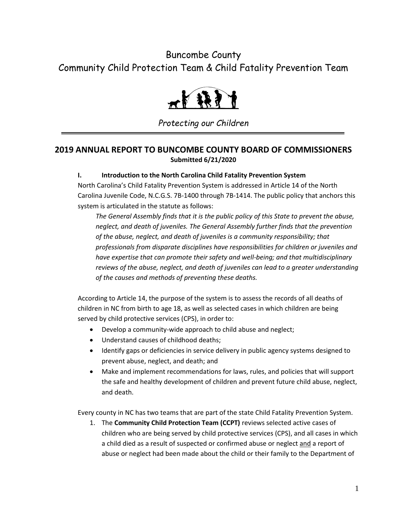# Buncombe County Community Child Protection Team & Child Fatality Prevention Team



*Protecting our Children*

### **2019 ANNUAL REPORT TO BUNCOMBE COUNTY BOARD OF COMMISSIONERS Submitted 6/21/2020**

#### **I. Introduction to the North Carolina Child Fatality Prevention System**

North Carolina's Child Fatality Prevention System is addressed in Article 14 of the North Carolina Juvenile Code, N.C.G.S. 7B-1400 through 7B-1414. The public policy that anchors this system is articulated in the statute as follows:

*The General Assembly finds that it is the public policy of this State to prevent the abuse, neglect, and death of juveniles. The General Assembly further finds that the prevention of the abuse, neglect, and death of juveniles is a community responsibility; that professionals from disparate disciplines have responsibilities for children or juveniles and have expertise that can promote their safety and well-being; and that multidisciplinary reviews of the abuse, neglect, and death of juveniles can lead to a greater understanding of the causes and methods of preventing these deaths.*

According to Article 14, the purpose of the system is to assess the records of all deaths of children in NC from birth to age 18, as well as selected cases in which children are being served by child protective services (CPS), in order to:

- Develop a community-wide approach to child abuse and neglect;
- Understand causes of childhood deaths;
- Identify gaps or deficiencies in service delivery in public agency systems designed to prevent abuse, neglect, and death; and
- Make and implement recommendations for laws, rules, and policies that will support the safe and healthy development of children and prevent future child abuse, neglect, and death.

Every county in NC has two teams that are part of the state Child Fatality Prevention System.

1. The **Community Child Protection Team (CCPT)** reviews selected active cases of children who are being served by child protective services (CPS), and all cases in which a child died as a result of suspected or confirmed abuse or neglect and a report of abuse or neglect had been made about the child or their family to the Department of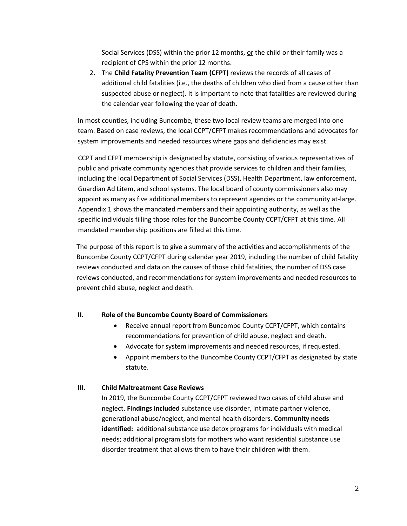Social Services (DSS) within the prior 12 months, or the child or their family was a recipient of CPS within the prior 12 months.

2. The **Child Fatality Prevention Team (CFPT)** reviews the records of all cases of additional child fatalities (i.e., the deaths of children who died from a cause other than suspected abuse or neglect). It is important to note that fatalities are reviewed during the calendar year following the year of death.

In most counties, including Buncombe, these two local review teams are merged into one team. Based on case reviews, the local CCPT/CFPT makes recommendations and advocates for system improvements and needed resources where gaps and deficiencies may exist.

CCPT and CFPT membership is designated by statute, consisting of various representatives of public and private community agencies that provide services to children and their families, including the local Department of Social Services (DSS), Health Department, law enforcement, Guardian Ad Litem, and school systems. The local board of county commissioners also may appoint as many as five additional members to represent agencies or the community at-large. Appendix 1 shows the mandated members and their appointing authority, as well as the specific individuals filling those roles for the Buncombe County CCPT/CFPT at this time. All mandated membership positions are filled at this time.

The purpose of this report is to give a summary of the activities and accomplishments of the Buncombe County CCPT/CFPT during calendar year 2019, including the number of child fatality reviews conducted and data on the causes of those child fatalities, the number of DSS case reviews conducted, and recommendations for system improvements and needed resources to prevent child abuse, neglect and death.

#### **II. Role of the Buncombe County Board of Commissioners**

- Receive annual report from Buncombe County CCPT/CFPT, which contains recommendations for prevention of child abuse, neglect and death.
- Advocate for system improvements and needed resources, if requested.
- Appoint members to the Buncombe County CCPT/CFPT as designated by state statute.

#### **III. Child Maltreatment Case Reviews**

In 2019, the Buncombe County CCPT/CFPT reviewed two cases of child abuse and neglect. **Findings included** substance use disorder, intimate partner violence, generational abuse/neglect, and mental health disorders. **Community needs identified:** additional substance use detox programs for individuals with medical needs; additional program slots for mothers who want residential substance use disorder treatment that allows them to have their children with them.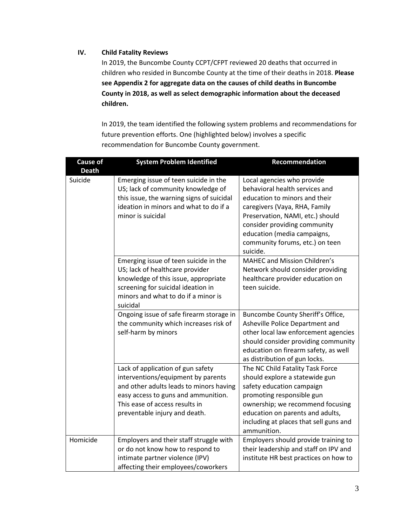#### **IV. Child Fatality Reviews**

In 2019, the Buncombe County CCPT/CFPT reviewed 20 deaths that occurred in children who resided in Buncombe County at the time of their deaths in 2018. **Please see Appendix 2 for aggregate data on the causes of child deaths in Buncombe County in 2018, as well as select demographic information about the deceased children.**

In 2019, the team identified the following system problems and recommendations for future prevention efforts. One (highlighted below) involves a specific recommendation for Buncombe County government.

| <b>Cause of</b><br><b>Death</b> | <b>System Problem Identified</b>                                                                                                                                                                                             | Recommendation                                                                                                                                                                                                                                                                   |
|---------------------------------|------------------------------------------------------------------------------------------------------------------------------------------------------------------------------------------------------------------------------|----------------------------------------------------------------------------------------------------------------------------------------------------------------------------------------------------------------------------------------------------------------------------------|
| Suicide                         | Emerging issue of teen suicide in the<br>US; lack of community knowledge of<br>this issue, the warning signs of suicidal<br>ideation in minors and what to do if a<br>minor is suicidal                                      | Local agencies who provide<br>behavioral health services and<br>education to minors and their<br>caregivers (Vaya, RHA, Family<br>Preservation, NAMI, etc.) should<br>consider providing community<br>education (media campaigns,<br>community forums, etc.) on teen<br>suicide. |
|                                 | Emerging issue of teen suicide in the<br>US; lack of healthcare provider<br>knowledge of this issue, appropriate<br>screening for suicidal ideation in<br>minors and what to do if a minor is<br>suicidal                    | <b>MAHEC and Mission Children's</b><br>Network should consider providing<br>healthcare provider education on<br>teen suicide.                                                                                                                                                    |
|                                 | Ongoing issue of safe firearm storage in<br>the community which increases risk of<br>self-harm by minors                                                                                                                     | Buncombe County Sheriff's Office,<br>Asheville Police Department and<br>other local law enforcement agencies<br>should consider providing community<br>education on firearm safety, as well<br>as distribution of gun locks.                                                     |
|                                 | Lack of application of gun safety<br>interventions/equipment by parents<br>and other adults leads to minors having<br>easy access to guns and ammunition.<br>This ease of access results in<br>preventable injury and death. | The NC Child Fatality Task Force<br>should explore a statewide gun<br>safety education campaign<br>promoting responsible gun<br>ownership; we recommend focusing<br>education on parents and adults,<br>including at places that sell guns and<br>ammunition.                    |
| Homicide                        | Employers and their staff struggle with<br>or do not know how to respond to<br>intimate partner violence (IPV)<br>affecting their employees/coworkers                                                                        | Employers should provide training to<br>their leadership and staff on IPV and<br>institute HR best practices on how to                                                                                                                                                           |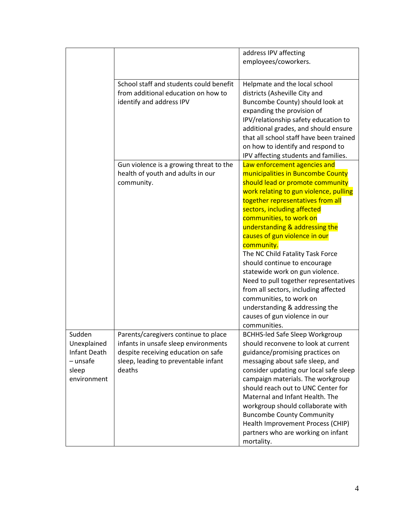|                     |                                         | address IPV affecting                   |
|---------------------|-----------------------------------------|-----------------------------------------|
|                     |                                         | employees/coworkers.                    |
|                     |                                         |                                         |
|                     |                                         |                                         |
|                     | School staff and students could benefit | Helpmate and the local school           |
|                     | from additional education on how to     | districts (Asheville City and           |
|                     | identify and address IPV                | Buncombe County) should look at         |
|                     |                                         | expanding the provision of              |
|                     |                                         | IPV/relationship safety education to    |
|                     |                                         | additional grades, and should ensure    |
|                     |                                         | that all school staff have been trained |
|                     |                                         | on how to identify and respond to       |
|                     |                                         | IPV affecting students and families.    |
|                     | Gun violence is a growing threat to the | Law enforcement agencies and            |
|                     |                                         | municipalities in Buncombe County       |
|                     | health of youth and adults in our       |                                         |
|                     | community.                              | should lead or promote community        |
|                     |                                         | work relating to gun violence, pulling  |
|                     |                                         | together representatives from all       |
|                     |                                         | sectors, including affected             |
|                     |                                         | communities, to work on                 |
|                     |                                         | understanding & addressing the          |
|                     |                                         | causes of gun violence in our           |
|                     |                                         | community.                              |
|                     |                                         | The NC Child Fatality Task Force        |
|                     |                                         | should continue to encourage            |
|                     |                                         | statewide work on gun violence.         |
|                     |                                         | Need to pull together representatives   |
|                     |                                         | from all sectors, including affected    |
|                     |                                         | communities, to work on                 |
|                     |                                         | understanding & addressing the          |
|                     |                                         | causes of gun violence in our           |
|                     |                                         | communities.                            |
| Sudden              | Parents/caregivers continue to place    | <b>BCHHS-led Safe Sleep Workgroup</b>   |
| Unexplained         | infants in unsafe sleep environments    | should reconvene to look at current     |
| <b>Infant Death</b> | despite receiving education on safe     | guidance/promising practices on         |
| - unsafe            | sleep, leading to preventable infant    | messaging about safe sleep, and         |
| sleep               | deaths                                  | consider updating our local safe sleep  |
| environment         |                                         | campaign materials. The workgroup       |
|                     |                                         | should reach out to UNC Center for      |
|                     |                                         | Maternal and Infant Health. The         |
|                     |                                         | workgroup should collaborate with       |
|                     |                                         | <b>Buncombe County Community</b>        |
|                     |                                         |                                         |
|                     |                                         | Health Improvement Process (CHIP)       |
|                     |                                         | partners who are working on infant      |
|                     |                                         | mortality.                              |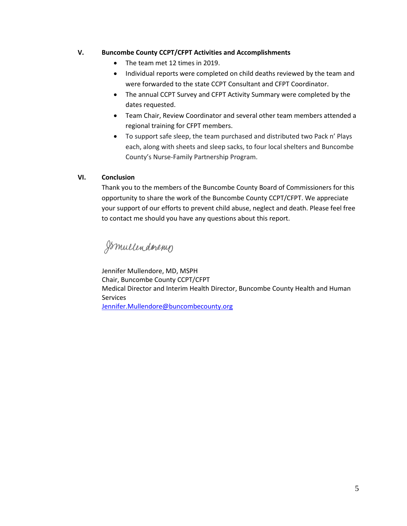#### **V. Buncombe County CCPT/CFPT Activities and Accomplishments**

- The team met 12 times in 2019.
- Individual reports were completed on child deaths reviewed by the team and were forwarded to the state CCPT Consultant and CFPT Coordinator.
- The annual CCPT Survey and CFPT Activity Summary were completed by the dates requested.
- Team Chair, Review Coordinator and several other team members attended a regional training for CFPT members.
- To support safe sleep, the team purchased and distributed two Pack n' Plays each, along with sheets and sleep sacks, to four local shelters and Buncombe County's Nurse-Family Partnership Program.

#### **VI. Conclusion**

Thank you to the members of the Buncombe County Board of Commissioners for this opportunity to share the work of the Buncombe County CCPT/CFPT. We appreciate your support of our efforts to prevent child abuse, neglect and death. Please feel free to contact me should you have any questions about this report.

Ismullendoremp

Jennifer Mullendore, MD, MSPH Chair, Buncombe County CCPT/CFPT Medical Director and Interim Health Director, Buncombe County Health and Human Services [Jennifer.Mullendore@buncombecounty.org](mailto:Jennifer.Mullendore@buncombecounty.org)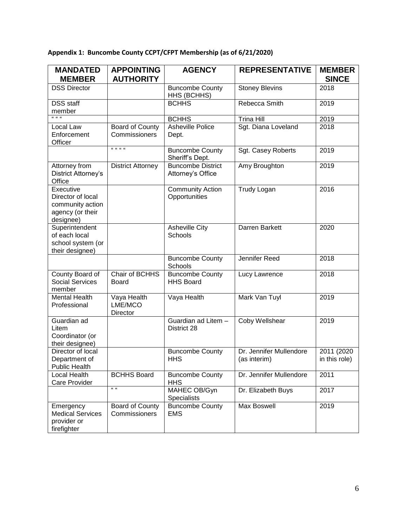## **Appendix 1: Buncombe County CCPT/CFPT Membership (as of 6/21/2020)**

| <b>MANDATED</b><br><b>MEMBER</b>                                                    | <b>APPOINTING</b><br><b>AUTHORITY</b> | <b>AGENCY</b>                                 | <b>REPRESENTATIVE</b>                   | <b>MEMBER</b><br><b>SINCE</b> |
|-------------------------------------------------------------------------------------|---------------------------------------|-----------------------------------------------|-----------------------------------------|-------------------------------|
| <b>DSS Director</b>                                                                 |                                       | <b>Buncombe County</b><br>HHS (BCHHS)         | <b>Stoney Blevins</b>                   | 2018                          |
| <b>DSS</b> staff<br>member                                                          |                                       | <b>BCHHS</b>                                  | Rebecca Smith                           | 2019                          |
| .                                                                                   |                                       | <b>BCHHS</b>                                  | <b>Trina Hill</b>                       | 2019                          |
| Local Law<br>Enforcement<br>Officer                                                 | Board of County<br>Commissioners      | Asheville Police<br>Dept.                     | Sgt. Diana Loveland                     | 2018                          |
|                                                                                     | .                                     | <b>Buncombe County</b><br>Sheriff's Dept.     | Sgt. Casey Roberts                      | 2019                          |
| Attorney from<br>District Attorney's<br>Office                                      | <b>District Attorney</b>              | <b>Buncombe District</b><br>Attorney's Office | Amy Broughton                           | 2019                          |
| Executive<br>Director of local<br>community action<br>agency (or their<br>designee) |                                       | <b>Community Action</b><br>Opportunities      | <b>Trudy Logan</b>                      | 2016                          |
| Superintendent<br>of each local<br>school system (or<br>their designee)             |                                       | <b>Asheville City</b><br>Schools              | Darren Barkett                          | 2020                          |
|                                                                                     |                                       | <b>Buncombe County</b><br>Schools             | <b>Jennifer Reed</b>                    | 2018                          |
| County Board of<br><b>Social Services</b><br>member                                 | Chair of BCHHS<br>Board               | <b>Buncombe County</b><br><b>HHS Board</b>    | Lucy Lawrence                           | 2018                          |
| <b>Mental Health</b><br>Professional                                                | Vaya Health<br>LME/MCO<br>Director    | Vaya Health                                   | Mark Van Tuyl                           | 2019                          |
| Guardian ad<br>Litem<br>Coordinator (or<br>their designee)                          |                                       | Guardian ad Litem -<br>District 28            | Coby Wellshear                          | 2019                          |
| Director of local<br>Department of<br>Public Health                                 |                                       | <b>Buncombe County</b><br><b>HHS</b>          | Dr. Jennifer Mullendore<br>(as interim) | 2011 (2020<br>in this role)   |
| Local Health<br>Care Provider                                                       | <b>BCHHS Board</b>                    | <b>Buncombe County</b><br><b>HHS</b>          | Dr. Jennifer Mullendore                 | 2011                          |
|                                                                                     | $\alpha$                              | MAHEC OB/Gyn<br>Specialists                   | Dr. Elizabeth Buys                      | 2017                          |
| Emergency<br><b>Medical Services</b><br>provider or<br>firefighter                  | Board of County<br>Commissioners      | <b>Buncombe County</b><br><b>EMS</b>          | <b>Max Boswell</b>                      | 2019                          |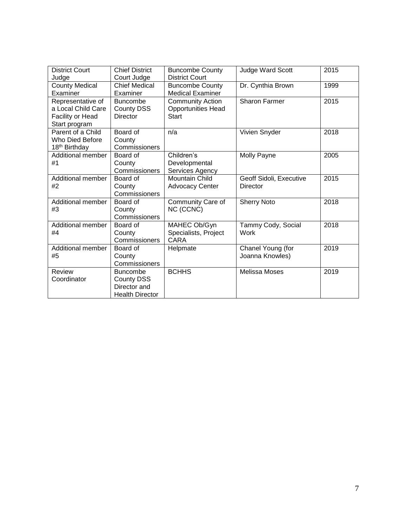| <b>District Court</b><br>Judge                                               | <b>Chief District</b><br>Court Judge                                    | <b>Buncombe County</b><br><b>District Court</b>                      | <b>Judge Ward Scott</b>              | 2015 |
|------------------------------------------------------------------------------|-------------------------------------------------------------------------|----------------------------------------------------------------------|--------------------------------------|------|
| <b>County Medical</b><br>Examiner                                            | <b>Chief Medical</b><br>Examiner                                        | <b>Buncombe County</b><br><b>Medical Examiner</b>                    | Dr. Cynthia Brown                    | 1999 |
| Representative of<br>a Local Child Care<br>Facility or Head<br>Start program | <b>Buncombe</b><br>County DSS<br><b>Director</b>                        | <b>Community Action</b><br><b>Opportunities Head</b><br><b>Start</b> | <b>Sharon Farmer</b>                 | 2015 |
| Parent of a Child<br>Who Died Before<br>18 <sup>th</sup> Birthday            | Board of<br>County<br>Commissioners                                     | n/a                                                                  | Vivien Snyder                        | 2018 |
| <b>Additional member</b><br>#1                                               | Board of<br>County<br>Commissioners                                     | Children's<br>Developmental<br>Services Agency                       | Molly Payne                          | 2005 |
| Additional member<br>#2                                                      | Board of<br>County<br>Commissioners                                     | <b>Mountain Child</b><br><b>Advocacy Center</b>                      | Geoff Sidoli, Executive<br>Director  | 2015 |
| Additional member<br>#3                                                      | Board of<br>County<br>Commissioners                                     | Community Care of<br>NC (CCNC)                                       | <b>Sherry Noto</b>                   | 2018 |
| Additional member<br>#4                                                      | Board of<br>County<br>Commissioners                                     | MAHEC Ob/Gyn<br>Specialists, Project<br>CARA                         | Tammy Cody, Social<br>Work           | 2018 |
| Additional member<br>#5                                                      | Board of<br>County<br>Commissioners                                     | Helpmate                                                             | Chanel Young (for<br>Joanna Knowles) | 2019 |
| Review<br>Coordinator                                                        | <b>Buncombe</b><br>County DSS<br>Director and<br><b>Health Director</b> | <b>BCHHS</b>                                                         | <b>Melissa Moses</b>                 | 2019 |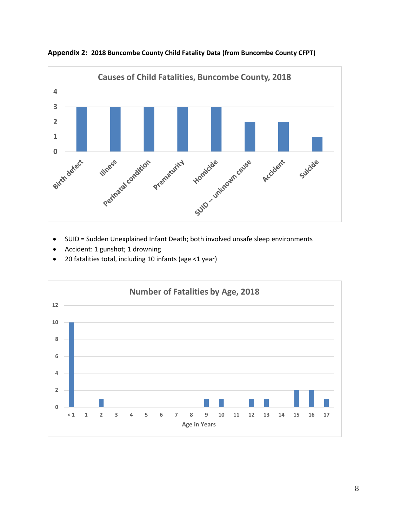

**Appendix 2: 2018 Buncombe County Child Fatality Data (from Buncombe County CFPT)**

- SUID = Sudden Unexplained Infant Death; both involved unsafe sleep environments
- Accident: 1 gunshot; 1 drowning
- 20 fatalities total, including 10 infants (age <1 year)